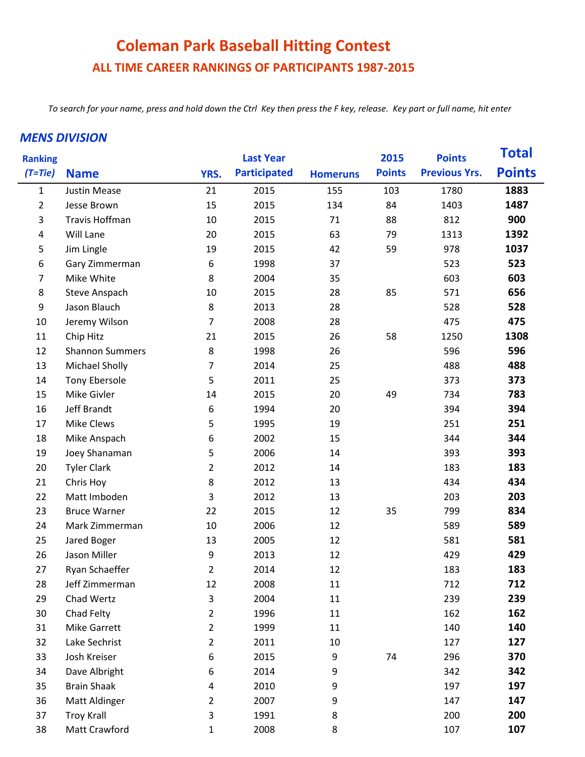## **Coleman Park Baseball Hitting Contest ALL TIME CAREER RANKINGS OF PARTICIPANTS 1987-2015**

*To search for your name, press and hold down the Ctrl Key then press the F key, release. Key part or full name, hit enter* 

## *MENS DIVISION*

| <b>Ranking</b> |                        |                | <b>Last Year</b>    |                 | 2015          | <b>Points</b>        | <b>Total</b>  |
|----------------|------------------------|----------------|---------------------|-----------------|---------------|----------------------|---------------|
| $(T=tie)$      | <b>Name</b>            | YRS.           | <b>Participated</b> | <b>Homeruns</b> | <b>Points</b> | <b>Previous Yrs.</b> | <b>Points</b> |
| $\mathbf{1}$   | <b>Justin Mease</b>    | 21             | 2015                | 155             | 103           | 1780                 | 1883          |
| $\overline{2}$ | Jesse Brown            | 15             | 2015                | 134             | 84            | 1403                 | 1487          |
| 3              | Travis Hoffman         | 10             | 2015                | 71              | 88            | 812                  | 900           |
| 4              | Will Lane              | 20             | 2015                | 63              | 79            | 1313                 | 1392          |
| 5              | Jim Lingle             | 19             | 2015                | 42              | 59            | 978                  | 1037          |
| 6              | Gary Zimmerman         | 6              | 1998                | 37              |               | 523                  | 523           |
| 7              | Mike White             | 8              | 2004                | 35              |               | 603                  | 603           |
| 8              | <b>Steve Anspach</b>   | 10             | 2015                | 28              | 85            | 571                  | 656           |
| 9              | Jason Blauch           | 8              | 2013                | 28              |               | 528                  | 528           |
| 10             | Jeremy Wilson          | $\overline{7}$ | 2008                | 28              |               | 475                  | 475           |
| 11             | Chip Hitz              | 21             | 2015                | 26              | 58            | 1250                 | 1308          |
| 12             | <b>Shannon Summers</b> | 8              | 1998                | 26              |               | 596                  | 596           |
| 13             | Michael Sholly         | $\overline{7}$ | 2014                | 25              |               | 488                  | 488           |
| 14             | Tony Ebersole          | 5              | 2011                | 25              |               | 373                  | 373           |
| 15             | Mike Givler            | 14             | 2015                | 20              | 49            | 734                  | 783           |
| 16             | Jeff Brandt            | 6              | 1994                | 20              |               | 394                  | 394           |
| 17             | Mike Clews             | 5              | 1995                | 19              |               | 251                  | 251           |
| 18             | Mike Anspach           | 6              | 2002                | 15              |               | 344                  | 344           |
| 19             | Joey Shanaman          | 5              | 2006                | 14              |               | 393                  | 393           |
| 20             | <b>Tyler Clark</b>     | $\overline{2}$ | 2012                | 14              |               | 183                  | 183           |
| 21             | Chris Hoy              | 8              | 2012                | 13              |               | 434                  | 434           |
| 22             | Matt Imboden           | 3              | 2012                | 13              |               | 203                  | 203           |
| 23             | <b>Bruce Warner</b>    | 22             | 2015                | 12              | 35            | 799                  | 834           |
| 24             | Mark Zimmerman         | 10             | 2006                | 12              |               | 589                  | 589           |
| 25             | Jared Boger            | 13             | 2005                | 12              |               | 581                  | 581           |
| 26             | Jason Miller           | 9              | 2013                | 12              |               | 429                  | 429           |
| 27             | Ryan Schaeffer         | 2              | 2014                | 12              |               | 183                  | 183           |
| 28             | Jeff Zimmerman         | 12             | 2008                | 11              |               | 712                  | 712           |
| 29             | Chad Wertz             | 3              | 2004                | 11              |               | 239                  | 239           |
| 30             | Chad Felty             | $\overline{2}$ | 1996                | 11              |               | 162                  | 162           |
| 31             | <b>Mike Garrett</b>    | $\overline{2}$ | 1999                | 11              |               | 140                  | 140           |
| 32             | Lake Sechrist          | 2              | 2011                | 10              |               | 127                  | 127           |
| 33             | Josh Kreiser           | 6              | 2015                | 9               | 74            | 296                  | 370           |
| 34             | Dave Albright          | 6              | 2014                | 9               |               | 342                  | 342           |
| 35             | <b>Brain Shaak</b>     | 4              | 2010                | 9               |               | 197                  | 197           |
| 36             | Matt Aldinger          | 2              | 2007                | 9               |               | 147                  | 147           |
| 37             | <b>Troy Krall</b>      | 3              | 1991                | 8               |               | 200                  | 200           |
| 38             | Matt Crawford          | $\mathbf 1$    | 2008                | 8               |               | 107                  | 107           |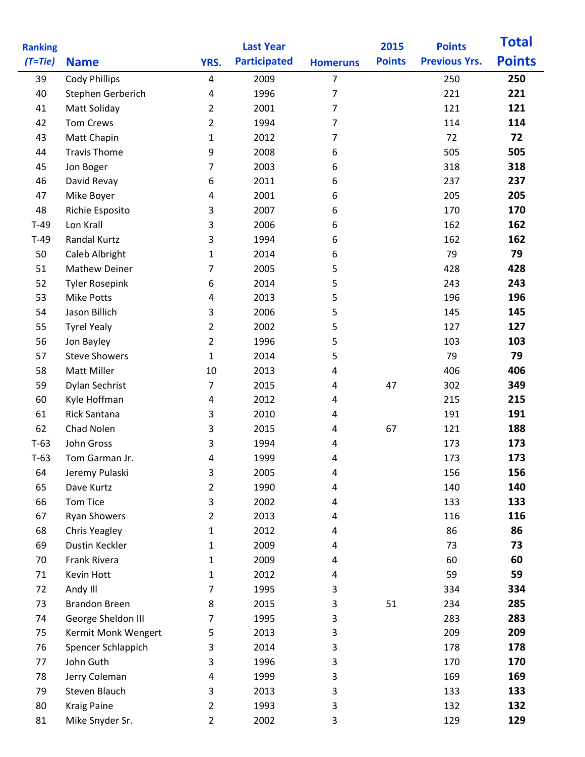| <b>Ranking</b> |                       |                         | <b>Last Year</b>    |                 | 2015          | <b>Points</b>        | <b>Total</b>  |
|----------------|-----------------------|-------------------------|---------------------|-----------------|---------------|----------------------|---------------|
| $(T=tie)$      | <b>Name</b>           | YRS.                    | <b>Participated</b> | <b>Homeruns</b> | <b>Points</b> | <b>Previous Yrs.</b> | <b>Points</b> |
| 39             | <b>Cody Phillips</b>  | $\overline{\mathbf{4}}$ | 2009                | $\overline{7}$  |               | 250                  | 250           |
| 40             | Stephen Gerberich     | $\sqrt{4}$              | 1996                | 7               |               | 221                  | 221           |
| 41             | Matt Soliday          | 2                       | 2001                | 7               |               | 121                  | 121           |
| 42             | <b>Tom Crews</b>      | 2                       | 1994                | 7               |               | 114                  | 114           |
| 43             | Matt Chapin           | $\mathbf{1}$            | 2012                | $\overline{7}$  |               | 72                   | 72            |
| 44             | <b>Travis Thome</b>   | 9                       | 2008                | 6               |               | 505                  | 505           |
| 45             | Jon Boger             | 7                       | 2003                | 6               |               | 318                  | 318           |
| 46             | David Revay           | 6                       | 2011                | 6               |               | 237                  | 237           |
| 47             | Mike Boyer            | 4                       | 2001                | 6               |               | 205                  | 205           |
| 48             | Richie Esposito       | 3                       | 2007                | 6               |               | 170                  | 170           |
| $T-49$         | Lon Krall             | 3                       | 2006                | 6               |               | 162                  | 162           |
| $T-49$         | Randal Kurtz          | 3                       | 1994                | 6               |               | 162                  | 162           |
| 50             | Caleb Albright        | 1                       | 2014                | 6               |               | 79                   | 79            |
| 51             | <b>Mathew Deiner</b>  | 7                       | 2005                | 5               |               | 428                  | 428           |
| 52             | <b>Tyler Rosepink</b> | 6                       | 2014                | 5               |               | 243                  | 243           |
| 53             | <b>Mike Potts</b>     | $\overline{4}$          | 2013                | 5               |               | 196                  | 196           |
| 54             | Jason Billich         | 3                       | 2006                | 5               |               | 145                  | 145           |
| 55             | <b>Tyrel Yealy</b>    | $\overline{2}$          | 2002                | 5               |               | 127                  | 127           |
| 56             | Jon Bayley            | $\overline{2}$          | 1996                | 5               |               | 103                  | 103           |
| 57             | <b>Steve Showers</b>  | $\mathbf{1}$            | 2014                | 5               |               | 79                   | 79            |
| 58             | <b>Matt Miller</b>    | 10                      | 2013                | 4               |               | 406                  | 406           |
| 59             | Dylan Sechrist        | $\overline{7}$          | 2015                | 4               | 47            | 302                  | 349           |
| 60             | Kyle Hoffman          | 4                       | 2012                | 4               |               | 215                  | 215           |
| 61             | Rick Santana          | 3                       | 2010                | $\overline{4}$  |               | 191                  | 191           |
| 62             | Chad Nolen            | 3                       | 2015                | 4               | 67            | 121                  | 188           |
| $T-63$         | John Gross            | 3                       | 1994                | 4               |               | 173                  | 173           |
| $T-63$         | Tom Garman Jr.        | 4                       | 1999                | 4               |               | 173                  | 173           |
| 64             | Jeremy Pulaski        | 3                       | 2005                | 4               |               | 156                  | 156           |
| 65             | Dave Kurtz            | $\overline{2}$          | 1990                | 4               |               | 140                  | 140           |
| 66             | <b>Tom Tice</b>       | 3                       | 2002                | 4               |               | 133                  | 133           |
| 67             | <b>Ryan Showers</b>   | $\overline{2}$          | 2013                | 4               |               | 116                  | 116           |
| 68             | <b>Chris Yeagley</b>  | $\mathbf{1}$            | 2012                | 4               |               | 86                   | 86            |
| 69             | Dustin Keckler        | $\mathbf{1}$            | 2009                | 4               |               | 73                   | 73            |
| 70             | Frank Rivera          | $\mathbf{1}$            | 2009                | 4               |               | 60                   | 60            |
| 71             | Kevin Hott            | $\mathbf{1}$            | 2012                | $\overline{4}$  |               | 59                   | 59            |
| 72             | Andy III              | $\overline{7}$          | 1995                | 3               |               | 334                  | 334           |
| 73             | <b>Brandon Breen</b>  | 8                       | 2015                | 3               | 51            | 234                  | 285           |
| 74             | George Sheldon III    | 7                       | 1995                | 3               |               | 283                  | 283           |
| 75             | Kermit Monk Wengert   | 5                       | 2013                | 3               |               | 209                  | 209           |
| 76             | Spencer Schlappich    | 3                       | 2014                | 3               |               | 178                  | 178           |
| 77             | John Guth             | 3                       | 1996                | 3               |               | 170                  | 170           |
| 78             | Jerry Coleman         | 4                       | 1999                | 3               |               | 169                  | 169           |
| 79             | Steven Blauch         | 3                       | 2013                | 3               |               | 133                  | 133           |
| 80             | <b>Kraig Paine</b>    | $\overline{2}$          | 1993                | 3               |               | 132                  | 132           |
| 81             | Mike Snyder Sr.       | $\overline{2}$          | 2002                | 3               |               | 129                  | 129           |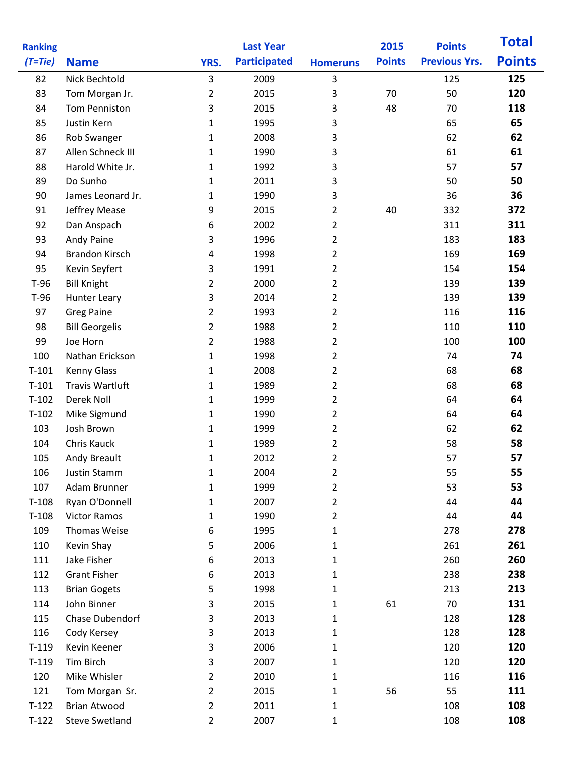| <b>Ranking</b> |                        |                | <b>Last Year</b>    |                 | 2015          | <b>Points</b>        | <b>Total</b>  |
|----------------|------------------------|----------------|---------------------|-----------------|---------------|----------------------|---------------|
| $(T=tie)$      | <b>Name</b>            | YRS.           | <b>Participated</b> | <b>Homeruns</b> | <b>Points</b> | <b>Previous Yrs.</b> | <b>Points</b> |
| 82             | Nick Bechtold          | 3              | 2009                | 3               |               | 125                  | 125           |
| 83             | Tom Morgan Jr.         | $\overline{2}$ | 2015                | 3               | 70            | 50                   | 120           |
| 84             | Tom Penniston          | 3              | 2015                | 3               | 48            | 70                   | 118           |
| 85             | Justin Kern            | $\mathbf{1}$   | 1995                | 3               |               | 65                   | 65            |
| 86             | Rob Swanger            | $\mathbf{1}$   | 2008                | 3               |               | 62                   | 62            |
| 87             | Allen Schneck III      | $\mathbf{1}$   | 1990                | 3               |               | 61                   | 61            |
| 88             | Harold White Jr.       | $\mathbf{1}$   | 1992                | 3               |               | 57                   | 57            |
| 89             | Do Sunho               | 1              | 2011                | 3               |               | 50                   | 50            |
| 90             | James Leonard Jr.      | $\mathbf{1}$   | 1990                | 3               |               | 36                   | 36            |
| 91             | Jeffrey Mease          | 9              | 2015                | $\overline{2}$  | 40            | 332                  | 372           |
| 92             | Dan Anspach            | 6              | 2002                | $\overline{2}$  |               | 311                  | 311           |
| 93             | Andy Paine             | 3              | 1996                | $\overline{2}$  |               | 183                  | 183           |
| 94             | <b>Brandon Kirsch</b>  | 4              | 1998                | $\overline{2}$  |               | 169                  | 169           |
| 95             | Kevin Seyfert          | 3              | 1991                | $\overline{2}$  |               | 154                  | 154           |
| $T-96$         | <b>Bill Knight</b>     | 2              | 2000                | $\overline{2}$  |               | 139                  | 139           |
| $T-96$         | <b>Hunter Leary</b>    | 3              | 2014                | $\overline{2}$  |               | 139                  | 139           |
| 97             | <b>Greg Paine</b>      | 2              | 1993                | 2               |               | 116                  | 116           |
| 98             | <b>Bill Georgelis</b>  | $\overline{2}$ | 1988                | $\overline{2}$  |               | 110                  | 110           |
| 99             | Joe Horn               | $\overline{2}$ | 1988                | $\overline{2}$  |               | 100                  | 100           |
| 100            | Nathan Erickson        | $\mathbf{1}$   | 1998                | $\overline{2}$  |               | 74                   | 74            |
| $T-101$        | <b>Kenny Glass</b>     | $\mathbf{1}$   | 2008                | $\overline{2}$  |               | 68                   | 68            |
| $T-101$        | <b>Travis Wartluft</b> | $\mathbf{1}$   | 1989                | $\overline{2}$  |               | 68                   | 68            |
| $T-102$        | Derek Noll             | 1              | 1999                | $\overline{2}$  |               | 64                   | 64            |
| $T-102$        | Mike Sigmund           | $\mathbf 1$    | 1990                | $\overline{2}$  |               | 64                   | 64            |
| 103            | Josh Brown             | 1              | 1999                | $\overline{2}$  |               | 62                   | 62            |
| 104            | Chris Kauck            | 1              | 1989                | $\overline{2}$  |               | 58                   | 58            |
| 105            | Andy Breault           | $\mathbf{1}$   | 2012                | 2               |               | 57                   | 57            |
| 106            | Justin Stamm           | 1              | 2004                | 2               |               | 55                   | 55            |
| 107            | Adam Brunner           | $\mathbf 1$    | 1999                | 2               |               | 53                   | 53            |
| $T-108$        | Ryan O'Donnell         | $\mathbf{1}$   | 2007                | $\overline{2}$  |               | 44                   | 44            |
| $T-108$        | <b>Victor Ramos</b>    | $\mathbf{1}$   | 1990                | $\overline{2}$  |               | 44                   | 44            |
| 109            | Thomas Weise           | 6              | 1995                | 1               |               | 278                  | 278           |
| 110            | Kevin Shay             | 5              | 2006                | $\mathbf 1$     |               | 261                  | 261           |
| 111            | Jake Fisher            | 6              | 2013                | 1               |               | 260                  | 260           |
| 112            | <b>Grant Fisher</b>    | 6              | 2013                | 1               |               | 238                  | 238           |
| 113            | <b>Brian Gogets</b>    | 5              | 1998                | 1               |               | 213                  | 213           |
| 114            | John Binner            | 3              | 2015                | 1               | 61            | 70                   | 131           |
| 115            | Chase Dubendorf        | 3              | 2013                | 1               |               | 128                  | 128           |
| 116            | Cody Kersey            | 3              | 2013                | 1               |               | 128                  | 128           |
| $T-119$        | Kevin Keener           | 3              | 2006                | 1               |               | 120                  | 120           |
| $T-119$        | Tim Birch              | 3              | 2007                | 1               |               | 120                  | 120           |
| 120            | Mike Whisler           | $\overline{2}$ | 2010                | $\mathbf 1$     |               | 116                  | 116           |
| 121            | Tom Morgan Sr.         | $\overline{2}$ | 2015                | 1               | 56            | 55                   | 111           |
| $T-122$        | <b>Brian Atwood</b>    | $\overline{2}$ | 2011                | 1               |               | 108                  | 108           |
| $T-122$        | <b>Steve Swetland</b>  | $\overline{2}$ | 2007                | 1               |               | 108                  | 108           |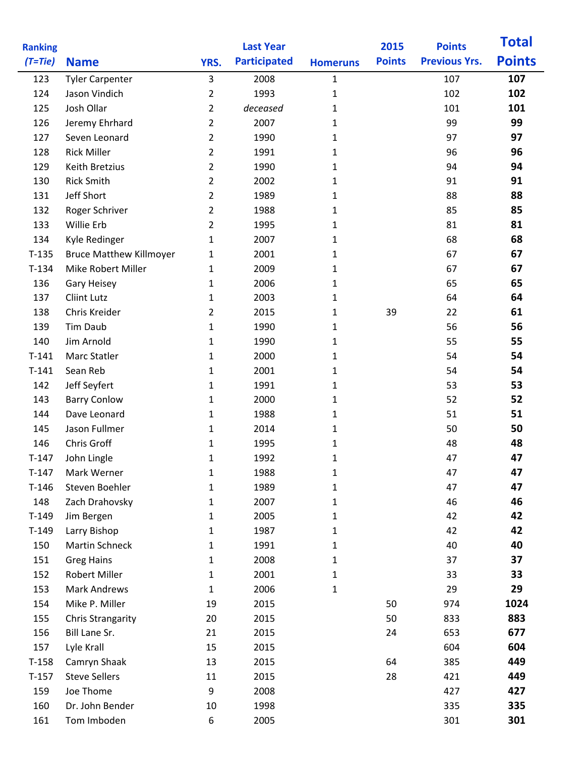| <b>Ranking</b> |                                      |                | <b>Last Year</b>    |                 | 2015          | <b>Points</b>        | <b>Total</b>  |
|----------------|--------------------------------------|----------------|---------------------|-----------------|---------------|----------------------|---------------|
| $(T=tie)$      | <b>Name</b>                          | YRS.           | <b>Participated</b> | <b>Homeruns</b> | <b>Points</b> | <b>Previous Yrs.</b> | <b>Points</b> |
| 123            | <b>Tyler Carpenter</b>               | 3              | 2008                | $\mathbf{1}$    |               | 107                  | 107           |
| 124            | Jason Vindich                        | $\overline{2}$ | 1993                | $\mathbf{1}$    |               | 102                  | 102           |
| 125            | Josh Ollar                           | $\overline{2}$ | deceased            | $\mathbf{1}$    |               | 101                  | 101           |
| 126            | Jeremy Ehrhard                       | $\overline{2}$ | 2007                | 1               |               | 99                   | 99            |
| 127            | Seven Leonard                        | $\overline{2}$ | 1990                | 1               |               | 97                   | 97            |
| 128            | <b>Rick Miller</b>                   | $\overline{2}$ | 1991                | 1               |               | 96                   | 96            |
| 129            | Keith Bretzius                       | $\overline{2}$ | 1990                | $\mathbf{1}$    |               | 94                   | 94            |
| 130            | <b>Rick Smith</b>                    | $\overline{2}$ | 2002                | $\mathbf{1}$    |               | 91                   | 91            |
| 131            | Jeff Short                           | $\overline{2}$ | 1989                | 1               |               | 88                   | 88            |
| 132            | Roger Schriver                       | $\overline{2}$ | 1988                | 1               |               | 85                   | 85            |
| 133            | Willie Erb                           | $\overline{2}$ | 1995                | 1               |               | 81                   | 81            |
| 134            | Kyle Redinger                        | $\mathbf{1}$   | 2007                | 1               |               | 68                   | 68            |
| $T-135$        | <b>Bruce Matthew Killmoyer</b>       | $\mathbf{1}$   | 2001                | $\mathbf{1}$    |               | 67                   | 67            |
| $T-134$        | Mike Robert Miller                   | $\mathbf{1}$   | 2009                | 1               |               | 67                   | 67            |
| 136            | Gary Heisey                          | $\mathbf{1}$   | 2006                | 1               |               | 65                   | 65            |
| 137            | Cliint Lutz                          | $\mathbf{1}$   | 2003                | $\mathbf{1}$    |               | 64                   | 64            |
| 138            | Chris Kreider                        | $\overline{2}$ | 2015                | 1               | 39            | 22                   | 61            |
| 139            | <b>Tim Daub</b>                      | $\mathbf{1}$   | 1990                | 1               |               | 56                   | 56            |
| 140            | Jim Arnold                           | $\mathbf{1}$   | 1990                | 1               |               | 55                   | 55            |
| $T-141$        | Marc Statler                         | $\mathbf{1}$   | 2000                | $\mathbf{1}$    |               | 54                   | 54            |
| $T-141$        | Sean Reb                             | $\mathbf{1}$   | 2001                | 1               |               | 54                   | 54            |
| 142            | Jeff Seyfert                         | $\mathbf{1}$   | 1991                | 1               |               | 53                   | 53            |
| 143            | <b>Barry Conlow</b>                  | $\mathbf{1}$   | 2000                | 1               |               | 52                   | 52            |
| 144            | Dave Leonard                         | $\mathbf{1}$   | 1988                | 1               |               | 51                   | 51            |
| 145            | Jason Fullmer                        | $\mathbf{1}$   | 2014                | 1               |               | 50                   | 50            |
| 146            | Chris Groff                          | $\mathbf{1}$   | 1995                | 1               |               | 48                   | 48            |
| $T-147$        | John Lingle                          | $\mathbf{1}$   | 1992                | $\mathbf{1}$    |               | 47                   | 47            |
| $T-147$        | Mark Werner                          | $\mathbf{1}$   | 1988                | 1               |               | 47                   | 47            |
| $T-146$        | Steven Boehler                       | $\mathbf{1}$   | 1989                | $\mathbf{1}$    |               | 47                   | 47            |
| 148            | Zach Drahovsky                       | $\mathbf{1}$   | 2007                | 1               |               | 46                   | 46            |
| $T-149$        | Jim Bergen                           | $\mathbf{1}$   | 2005                | 1               |               | 42                   | 42            |
| $T-149$        | Larry Bishop                         | $\mathbf{1}$   | 1987                | 1               |               | 42                   | 42            |
| 150            | Martin Schneck                       | $\mathbf{1}$   | 1991                | 1               |               | 40                   | 40            |
| 151            | <b>Greg Hains</b>                    | $\mathbf{1}$   | 2008                | 1               |               | 37                   | 37            |
| 152            | Robert Miller                        | $\mathbf{1}$   | 2001                | 1               |               | 33                   | 33            |
| 153            | <b>Mark Andrews</b>                  | $\mathbf{1}$   | 2006                | $\mathbf{1}$    |               | 29                   | 29            |
| 154            | Mike P. Miller                       | 19             | 2015                |                 | 50            | 974                  | 1024          |
| 155            | <b>Chris Strangarity</b>             | 20             | 2015                |                 | 50            | 833                  | 883           |
| 156            | Bill Lane Sr.                        | 21             | 2015                |                 | 24            | 653                  | 677           |
| 157            | Lyle Krall                           | 15             | 2015                |                 |               | 604                  | 604           |
| $T-158$        | Camryn Shaak<br><b>Steve Sellers</b> | 13             | 2015                |                 | 64            | 385                  | 449<br>449    |
| $T-157$        | Joe Thome                            | 11<br>9        | 2015<br>2008        |                 | 28            | 421<br>427           | 427           |
| 159<br>160     | Dr. John Bender                      | 10             | 1998                |                 |               | 335                  | 335           |
| 161            | Tom Imboden                          | 6              | 2005                |                 |               | 301                  | 301           |
|                |                                      |                |                     |                 |               |                      |               |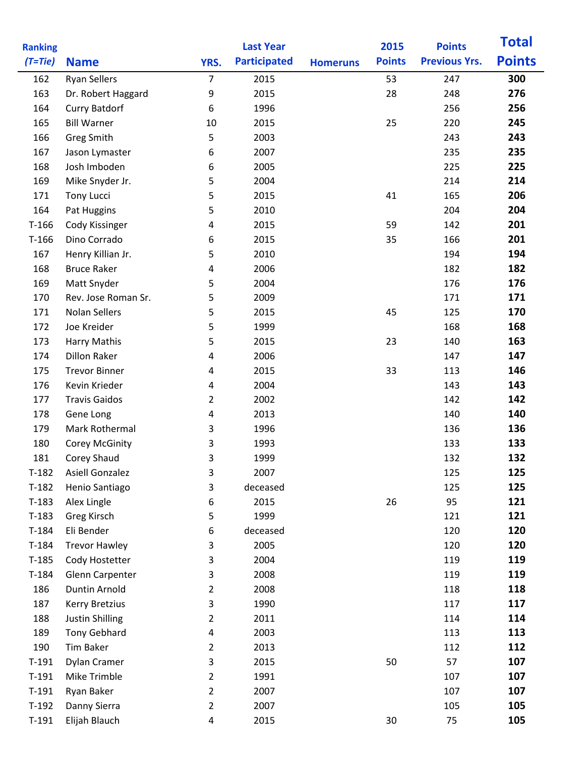| <b>Ranking</b> |                        |                | <b>Last Year</b>    |                 | 2015          | <b>Points</b>        | <b>Total</b>  |
|----------------|------------------------|----------------|---------------------|-----------------|---------------|----------------------|---------------|
| $(T=tie)$      | <b>Name</b>            | YRS.           | <b>Participated</b> | <b>Homeruns</b> | <b>Points</b> | <b>Previous Yrs.</b> | <b>Points</b> |
| 162            | <b>Ryan Sellers</b>    | $\overline{7}$ | 2015                |                 | 53            | 247                  | 300           |
| 163            | Dr. Robert Haggard     | 9              | 2015                |                 | 28            | 248                  | 276           |
| 164            | <b>Curry Batdorf</b>   | 6              | 1996                |                 |               | 256                  | 256           |
| 165            | <b>Bill Warner</b>     | 10             | 2015                |                 | 25            | 220                  | 245           |
| 166            | <b>Greg Smith</b>      | 5              | 2003                |                 |               | 243                  | 243           |
| 167            | Jason Lymaster         | 6              | 2007                |                 |               | 235                  | 235           |
| 168            | Josh Imboden           | 6              | 2005                |                 |               | 225                  | 225           |
| 169            | Mike Snyder Jr.        | 5              | 2004                |                 |               | 214                  | 214           |
| 171            | <b>Tony Lucci</b>      | 5              | 2015                |                 | 41            | 165                  | 206           |
| 164            | Pat Huggins            | 5              | 2010                |                 |               | 204                  | 204           |
| $T-166$        | Cody Kissinger         | 4              | 2015                |                 | 59            | 142                  | 201           |
| $T-166$        | Dino Corrado           | 6              | 2015                |                 | 35            | 166                  | 201           |
| 167            | Henry Killian Jr.      | 5              | 2010                |                 |               | 194                  | 194           |
| 168            | <b>Bruce Raker</b>     | 4              | 2006                |                 |               | 182                  | 182           |
| 169            | Matt Snyder            | 5              | 2004                |                 |               | 176                  | 176           |
| 170            | Rev. Jose Roman Sr.    | 5              | 2009                |                 |               | 171                  | 171           |
| 171            | <b>Nolan Sellers</b>   | 5              | 2015                |                 | 45            | 125                  | 170           |
| 172            | Joe Kreider            | 5              | 1999                |                 |               | 168                  | 168           |
| 173            | Harry Mathis           | 5              | 2015                |                 | 23            | 140                  | 163           |
| 174            | <b>Dillon Raker</b>    | 4              | 2006                |                 |               | 147                  | 147           |
| 175            | <b>Trevor Binner</b>   | 4              | 2015                |                 | 33            | 113                  | 146           |
| 176            | Kevin Krieder          | 4              | 2004                |                 |               | 143                  | 143           |
| 177            | <b>Travis Gaidos</b>   | 2              | 2002                |                 |               | 142                  | 142           |
| 178            | Gene Long              | 4              | 2013                |                 |               | 140                  | 140           |
| 179            | Mark Rothermal         | 3              | 1996                |                 |               | 136                  | 136           |
| 180            | <b>Corey McGinity</b>  | 3              | 1993                |                 |               | 133                  | 133           |
| 181            | Corey Shaud            | 3              | 1999                |                 |               | 132                  | 132           |
| $T-182$        | <b>Asiell Gonzalez</b> | 3              | 2007                |                 |               | 125                  | 125           |
| $T-182$        | Henio Santiago         | 3              | deceased            |                 |               | 125                  | 125           |
| $T-183$        | Alex Lingle            | 6              | 2015                |                 | 26            | 95                   | 121           |
| $T-183$        | Greg Kirsch            | 5              | 1999                |                 |               | 121                  | 121           |
| $T-184$        | Eli Bender             | 6              | deceased            |                 |               | 120                  | 120           |
| $T-184$        | <b>Trevor Hawley</b>   | 3              | 2005                |                 |               | 120                  | 120           |
| $T-185$        | Cody Hostetter         | 3              | 2004                |                 |               | 119                  | 119           |
| $T-184$        | Glenn Carpenter        | 3              | 2008                |                 |               | 119                  | 119           |
| 186            | Duntin Arnold          | $\overline{2}$ | 2008                |                 |               | 118                  | 118           |
| 187            | <b>Kerry Bretzius</b>  | 3              | 1990                |                 |               | 117                  | 117           |
| 188            | Justin Shilling        | $\overline{2}$ | 2011                |                 |               | 114                  | 114           |
| 189            | <b>Tony Gebhard</b>    | 4              | 2003                |                 |               | 113                  | 113           |
| 190            | Tim Baker              | $\overline{2}$ | 2013                |                 |               | 112                  | 112           |
| $T-191$        | Dylan Cramer           | 3              | 2015                |                 | 50            | 57                   | 107           |
| $T-191$        | Mike Trimble           | $\overline{2}$ | 1991                |                 |               | 107                  | 107           |
| $T-191$        | Ryan Baker             | $\overline{2}$ | 2007                |                 |               | 107                  | 107           |
| $T-192$        | Danny Sierra           | $\overline{2}$ | 2007                |                 |               | 105                  | 105           |
| $T-191$        | Elijah Blauch          | 4              | 2015                |                 | 30            | 75                   | 105           |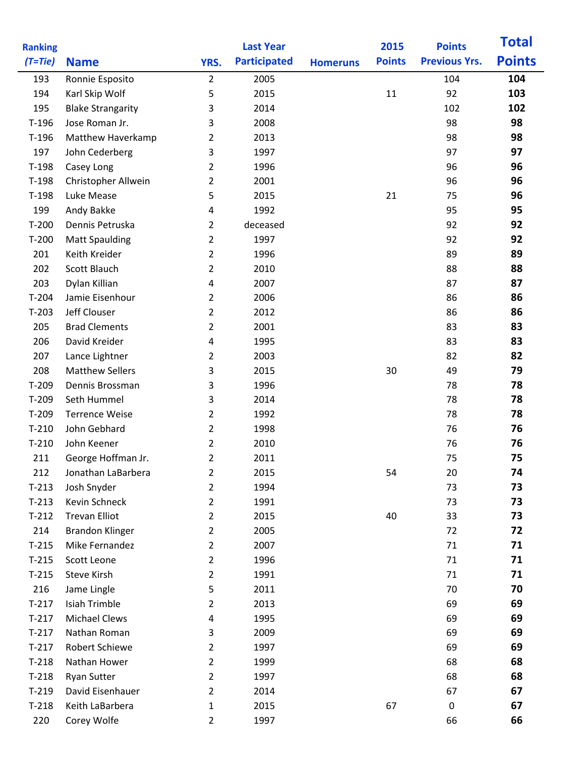| <b>Ranking</b> |                          |                | <b>Last Year</b>    |                 | 2015          | <b>Points</b>        | <b>Total</b>  |
|----------------|--------------------------|----------------|---------------------|-----------------|---------------|----------------------|---------------|
| $(T=tie)$      | <b>Name</b>              | YRS.           | <b>Participated</b> | <b>Homeruns</b> | <b>Points</b> | <b>Previous Yrs.</b> | <b>Points</b> |
| 193            | Ronnie Esposito          | $\overline{2}$ | 2005                |                 |               | 104                  | 104           |
| 194            | Karl Skip Wolf           | 5              | 2015                |                 | 11            | 92                   | 103           |
| 195            | <b>Blake Strangarity</b> | 3              | 2014                |                 |               | 102                  | 102           |
| $T-196$        | Jose Roman Jr.           | 3              | 2008                |                 |               | 98                   | 98            |
| $T-196$        | Matthew Haverkamp        | $\overline{2}$ | 2013                |                 |               | 98                   | 98            |
| 197            | John Cederberg           | 3              | 1997                |                 |               | 97                   | 97            |
| $T-198$        | Casey Long               | $\overline{2}$ | 1996                |                 |               | 96                   | 96            |
| $T-198$        | Christopher Allwein      | $\overline{2}$ | 2001                |                 |               | 96                   | 96            |
| $T-198$        | Luke Mease               | 5              | 2015                |                 | 21            | 75                   | 96            |
| 199            | Andy Bakke               | 4              | 1992                |                 |               | 95                   | 95            |
| $T-200$        | Dennis Petruska          | $\overline{2}$ | deceased            |                 |               | 92                   | 92            |
| $T-200$        | <b>Matt Spaulding</b>    | $\overline{2}$ | 1997                |                 |               | 92                   | 92            |
| 201            | Keith Kreider            | $\overline{2}$ | 1996                |                 |               | 89                   | 89            |
| 202            | Scott Blauch             | $\overline{2}$ | 2010                |                 |               | 88                   | 88            |
| 203            | Dylan Killian            | 4              | 2007                |                 |               | 87                   | 87            |
| $T-204$        | Jamie Eisenhour          | $\overline{2}$ | 2006                |                 |               | 86                   | 86            |
| $T-203$        | Jeff Clouser             | $\overline{2}$ | 2012                |                 |               | 86                   | 86            |
| 205            | <b>Brad Clements</b>     | $\overline{2}$ | 2001                |                 |               | 83                   | 83            |
| 206            | David Kreider            | 4              | 1995                |                 |               | 83                   | 83            |
| 207            | Lance Lightner           | $\overline{2}$ | 2003                |                 |               | 82                   | 82            |
| 208            | <b>Matthew Sellers</b>   | 3              | 2015                |                 | 30            | 49                   | 79            |
| $T-209$        | Dennis Brossman          | 3              | 1996                |                 |               | 78                   | 78            |
| $T-209$        | Seth Hummel              | 3              | 2014                |                 |               | 78                   | 78            |
| $T-209$        | <b>Terrence Weise</b>    | $\overline{2}$ | 1992                |                 |               | 78                   | 78            |
| $T-210$        | John Gebhard             | $\overline{2}$ | 1998                |                 |               | 76                   | 76            |
| $T-210$        | John Keener              | $\overline{2}$ | 2010                |                 |               | 76                   | 76            |
| 211            | George Hoffman Jr.       | $\overline{2}$ | 2011                |                 |               | 75                   | 75            |
| 212            | Jonathan LaBarbera       | $\overline{2}$ | 2015                |                 | 54            | 20                   | 74            |
| $T-213$        | Josh Snyder              | $\overline{2}$ | 1994                |                 |               | 73                   | 73            |
| $T-213$        | Kevin Schneck            | $\overline{2}$ | 1991                |                 |               | 73                   | 73            |
| $T-212$        | <b>Trevan Elliot</b>     | $\overline{2}$ | 2015                |                 | 40            | 33                   | 73            |
| 214            | <b>Brandon Klinger</b>   | 2              | 2005                |                 |               | 72                   | 72            |
| $T-215$        | Mike Fernandez           | $\overline{2}$ | 2007                |                 |               | 71                   | 71            |
| $T-215$        | Scott Leone              | $\overline{2}$ | 1996                |                 |               | 71                   | 71            |
| $T-215$        | Steve Kirsh              | $\overline{2}$ | 1991                |                 |               | 71                   | 71            |
| 216            | Jame Lingle              | 5              | 2011                |                 |               | 70                   | 70            |
| $T-217$        | Isiah Trimble            | $\overline{2}$ | 2013                |                 |               | 69                   | 69            |
| $T-217$        | <b>Michael Clews</b>     | 4              | 1995                |                 |               | 69                   | 69            |
| $T-217$        | Nathan Roman             | 3              | 2009                |                 |               | 69                   | 69            |
| $T-217$        | Robert Schiewe           | $\overline{2}$ | 1997                |                 |               | 69                   | 69            |
| $T-218$        | Nathan Hower             | $\overline{2}$ | 1999                |                 |               | 68                   | 68            |
| $T-218$        | <b>Ryan Sutter</b>       | $\overline{2}$ | 1997                |                 |               | 68                   | 68            |
| $T-219$        | David Eisenhauer         | $\overline{2}$ | 2014                |                 |               | 67                   | 67            |
| $T-218$        | Keith LaBarbera          | $\mathbf{1}$   | 2015                |                 | 67            | $\pmb{0}$            | 67            |
| 220            | Corey Wolfe              | $\overline{2}$ | 1997                |                 |               | 66                   | 66            |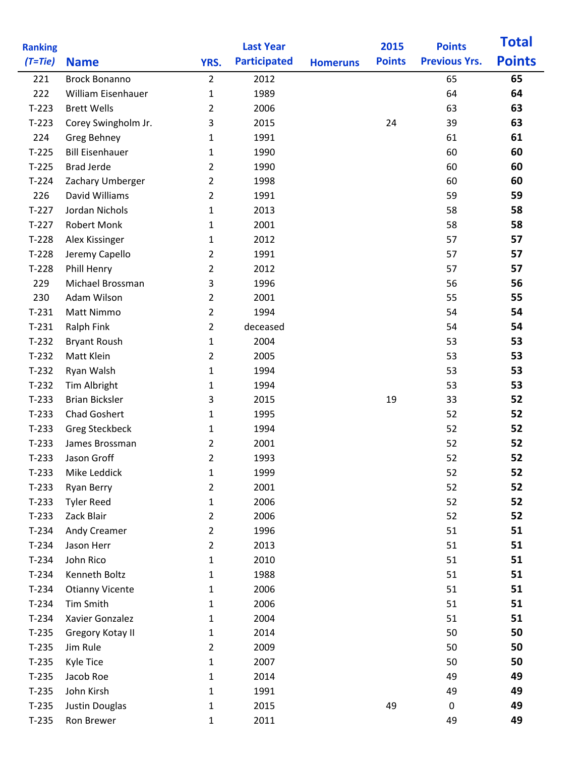| <b>Ranking</b> |                        |                | <b>Last Year</b>    |                 | 2015          | <b>Points</b>        | <b>Total</b>  |
|----------------|------------------------|----------------|---------------------|-----------------|---------------|----------------------|---------------|
| $(T=tie)$      | <b>Name</b>            | YRS.           | <b>Participated</b> | <b>Homeruns</b> | <b>Points</b> | <b>Previous Yrs.</b> | <b>Points</b> |
| 221            | <b>Brock Bonanno</b>   | $\overline{2}$ | 2012                |                 |               | 65                   | 65            |
| 222            | William Eisenhauer     | $\mathbf 1$    | 1989                |                 |               | 64                   | 64            |
| $T-223$        | <b>Brett Wells</b>     | $\overline{2}$ | 2006                |                 |               | 63                   | 63            |
| $T-223$        | Corey Swingholm Jr.    | 3              | 2015                |                 | 24            | 39                   | 63            |
| 224            | Greg Behney            | $\mathbf{1}$   | 1991                |                 |               | 61                   | 61            |
| $T-225$        | <b>Bill Eisenhauer</b> | $\mathbf{1}$   | 1990                |                 |               | 60                   | 60            |
| $T-225$        | <b>Brad Jerde</b>      | $\overline{2}$ | 1990                |                 |               | 60                   | 60            |
| $T-224$        | Zachary Umberger       | $\overline{2}$ | 1998                |                 |               | 60                   | 60            |
| 226            | David Williams         | $\overline{2}$ | 1991                |                 |               | 59                   | 59            |
| $T-227$        | Jordan Nichols         | $\mathbf{1}$   | 2013                |                 |               | 58                   | 58            |
| $T-227$        | <b>Robert Monk</b>     | 1              | 2001                |                 |               | 58                   | 58            |
| $T-228$        | Alex Kissinger         | 1              | 2012                |                 |               | 57                   | 57            |
| $T-228$        | Jeremy Capello         | 2              | 1991                |                 |               | 57                   | 57            |
| $T-228$        | Phill Henry            | 2              | 2012                |                 |               | 57                   | 57            |
| 229            | Michael Brossman       | 3              | 1996                |                 |               | 56                   | 56            |
| 230            | Adam Wilson            | 2              | 2001                |                 |               | 55                   | 55            |
| $T-231$        | Matt Nimmo             | $\overline{2}$ | 1994                |                 |               | 54                   | 54            |
| $T-231$        | <b>Ralph Fink</b>      | $\overline{2}$ | deceased            |                 |               | 54                   | 54            |
| $T-232$        | <b>Bryant Roush</b>    | $\mathbf{1}$   | 2004                |                 |               | 53                   | 53            |
| $T-232$        | Matt Klein             | $\overline{2}$ | 2005                |                 |               | 53                   | 53            |
| $T-232$        | Ryan Walsh             | $\mathbf 1$    | 1994                |                 |               | 53                   | 53            |
| $T-232$        | Tim Albright           | $\mathbf 1$    | 1994                |                 |               | 53                   | 53            |
| $T-233$        | <b>Brian Bicksler</b>  | 3              | 2015                |                 | 19            | 33                   | 52            |
| $T-233$        | <b>Chad Goshert</b>    | $\mathbf 1$    | 1995                |                 |               | 52                   | 52            |
| $T-233$        | <b>Greg Steckbeck</b>  | 1              | 1994                |                 |               | 52                   | 52            |
| $T-233$        | James Brossman         | 2              | 2001                |                 |               | 52                   | 52            |
| $T-233$        | Jason Groff            | 2              | 1993                |                 |               | 52                   | 52            |
| $T-233$        | Mike Leddick           | $\mathbf{1}$   | 1999                |                 |               | 52                   | 52            |
| $T-233$        | Ryan Berry             | 2              | 2001                |                 |               | 52                   | 52            |
| $T-233$        | <b>Tyler Reed</b>      | $\mathbf{1}$   | 2006                |                 |               | 52                   | 52            |
| $T-233$        | Zack Blair             | $\overline{2}$ | 2006                |                 |               | 52                   | 52            |
| $T-234$        | Andy Creamer           | $\overline{2}$ | 1996                |                 |               | 51                   | 51            |
| $T-234$        | Jason Herr             | $\overline{2}$ | 2013                |                 |               | 51                   | 51            |
| $T-234$        | John Rico              | $\mathbf 1$    | 2010                |                 |               | 51                   | 51            |
| $T-234$        | Kenneth Boltz          | $\mathbf{1}$   | 1988                |                 |               | 51                   | 51            |
| $T-234$        | <b>Otianny Vicente</b> | 1              | 2006                |                 |               | 51                   | 51            |
| $T-234$        | Tim Smith              | $\mathbf 1$    | 2006                |                 |               | 51                   | 51            |
| $T-234$        | Xavier Gonzalez        | 1              | 2004                |                 |               | 51                   | 51            |
| $T-235$        | Gregory Kotay II       | 1              | 2014                |                 |               | 50                   | 50            |
| $T-235$        | Jim Rule               | 2              | 2009                |                 |               | 50                   | 50            |
| $T-235$        | <b>Kyle Tice</b>       | $\mathbf{1}$   | 2007                |                 |               | 50                   | 50            |
| $T-235$        | Jacob Roe              | $\mathbf{1}$   | 2014                |                 |               | 49                   | 49            |
| $T-235$        | John Kirsh             | 1              | 1991                |                 |               | 49                   | 49            |
| $T-235$        | Justin Douglas         | $\mathbf 1$    | 2015                |                 | 49            | $\pmb{0}$            | 49            |
| $T-235$        | Ron Brewer             | $\mathbf 1$    | 2011                |                 |               | 49                   | 49            |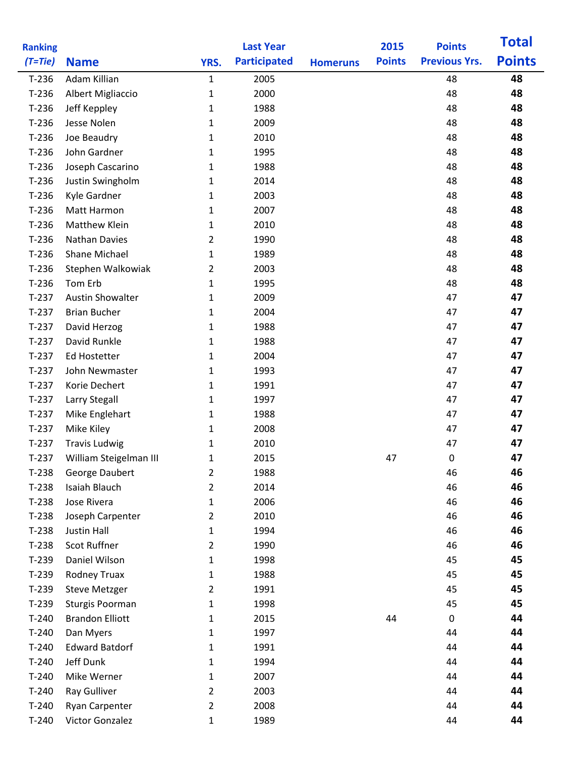| <b>Ranking</b> |                         |                | <b>Last Year</b>    |                 | 2015          | <b>Points</b>        | <b>Total</b>  |
|----------------|-------------------------|----------------|---------------------|-----------------|---------------|----------------------|---------------|
| $(T=Tie)$      | <b>Name</b>             | YRS.           | <b>Participated</b> | <b>Homeruns</b> | <b>Points</b> | <b>Previous Yrs.</b> | <b>Points</b> |
| $T-236$        | Adam Killian            | $\mathbf{1}$   | 2005                |                 |               | 48                   | 48            |
| $T-236$        | Albert Migliaccio       | $\mathbf 1$    | 2000                |                 |               | 48                   | 48            |
| $T-236$        | Jeff Keppley            | 1              | 1988                |                 |               | 48                   | 48            |
| $T-236$        | Jesse Nolen             | $\mathbf 1$    | 2009                |                 |               | 48                   | 48            |
| $T-236$        | Joe Beaudry             | $\mathbf 1$    | 2010                |                 |               | 48                   | 48            |
| $T-236$        | John Gardner            | $\mathbf{1}$   | 1995                |                 |               | 48                   | 48            |
| $T-236$        | Joseph Cascarino        | $\mathbf{1}$   | 1988                |                 |               | 48                   | 48            |
| $T-236$        | Justin Swingholm        | 1              | 2014                |                 |               | 48                   | 48            |
| $T-236$        | Kyle Gardner            | $\mathbf 1$    | 2003                |                 |               | 48                   | 48            |
| $T-236$        | Matt Harmon             | $\mathbf{1}$   | 2007                |                 |               | 48                   | 48            |
| $T-236$        | <b>Matthew Klein</b>    | $\mathbf 1$    | 2010                |                 |               | 48                   | 48            |
| $T-236$        | <b>Nathan Davies</b>    | 2              | 1990                |                 |               | 48                   | 48            |
| $T-236$        | Shane Michael           | $\mathbf{1}$   | 1989                |                 |               | 48                   | 48            |
| $T-236$        | Stephen Walkowiak       | 2              | 2003                |                 |               | 48                   | 48            |
| $T-236$        | Tom Erb                 | $\mathbf 1$    | 1995                |                 |               | 48                   | 48            |
| $T-237$        | <b>Austin Showalter</b> | 1              | 2009                |                 |               | 47                   | 47            |
| $T-237$        | <b>Brian Bucher</b>     | $\mathbf{1}$   | 2004                |                 |               | 47                   | 47            |
| $T-237$        | David Herzog            | $\mathbf{1}$   | 1988                |                 |               | 47                   | 47            |
| $T-237$        | David Runkle            | 1              | 1988                |                 |               | 47                   | 47            |
| $T-237$        | Ed Hostetter            | $\mathbf 1$    | 2004                |                 |               | 47                   | 47            |
| $T-237$        | John Newmaster          | 1              | 1993                |                 |               | 47                   | 47            |
| $T-237$        | Korie Dechert           | $\mathbf{1}$   | 1991                |                 |               | 47                   | 47            |
| $T-237$        | Larry Stegall           | 1              | 1997                |                 |               | 47                   | 47            |
| $T-237$        | Mike Englehart          | 1              | 1988                |                 |               | 47                   | 47            |
| $T-237$        | Mike Kiley              | 1              | 2008                |                 |               | 47                   | 47            |
| $T-237$        | <b>Travis Ludwig</b>    | 1              | 2010                |                 |               | 47                   | 47            |
| $T-237$        | William Steigelman III  | 1              | 2015                |                 | 47            | 0                    | 47            |
| $T-238$        | George Daubert          | $\overline{2}$ | 1988                |                 |               | 46                   | 46            |
| $T-238$        | Isaiah Blauch           | $\overline{2}$ | 2014                |                 |               | 46                   | 46            |
| $T-238$        | Jose Rivera             | $\mathbf{1}$   | 2006                |                 |               | 46                   | 46            |
| $T-238$        | Joseph Carpenter        | $\overline{2}$ | 2010                |                 |               | 46                   | 46            |
| $T-238$        | <b>Justin Hall</b>      | 1              | 1994                |                 |               | 46                   | 46            |
| $T-238$        | Scot Ruffner            | $\overline{2}$ | 1990                |                 |               | 46                   | 46            |
| $T-239$        | Daniel Wilson           | $\mathbf{1}$   | 1998                |                 |               | 45                   | 45            |
| $T-239$        | <b>Rodney Truax</b>     | $\mathbf{1}$   | 1988                |                 |               | 45                   | 45            |
| $T-239$        | <b>Steve Metzger</b>    | $\overline{2}$ | 1991                |                 |               | 45                   | 45            |
| $T-239$        | Sturgis Poorman         | $\mathbf 1$    | 1998                |                 |               | 45                   | 45            |
| $T-240$        | <b>Brandon Elliott</b>  | 1              | 2015                |                 | 44            | $\mathbf 0$          | 44            |
| $T-240$        | Dan Myers               | 1              | 1997                |                 |               | 44                   | 44            |
| $T-240$        | <b>Edward Batdorf</b>   | 1              | 1991                |                 |               | 44                   | 44            |
| $T-240$        | Jeff Dunk               | $\mathbf{1}$   | 1994                |                 |               | 44                   | 44            |
| $T-240$        | Mike Werner             | $\mathbf{1}$   | 2007                |                 |               | 44                   | 44            |
| $T-240$        | Ray Gulliver            | $\overline{2}$ | 2003                |                 |               | 44                   | 44            |
| $T-240$        | Ryan Carpenter          | $\overline{2}$ | 2008                |                 |               | 44                   | 44            |
| $T-240$        | Victor Gonzalez         | $\mathbf{1}$   | 1989                |                 |               | 44                   | 44            |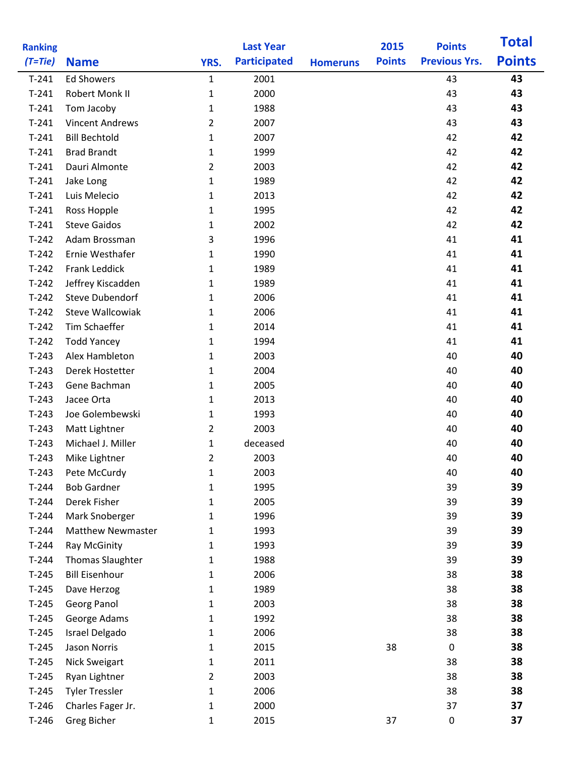| <b>Ranking</b> |                          |                | <b>Last Year</b>    |                 | 2015          | <b>Points</b>        | <b>Total</b>  |
|----------------|--------------------------|----------------|---------------------|-----------------|---------------|----------------------|---------------|
| $(T=tie)$      | <b>Name</b>              | YRS.           | <b>Participated</b> | <b>Homeruns</b> | <b>Points</b> | <b>Previous Yrs.</b> | <b>Points</b> |
| $T-241$        | <b>Ed Showers</b>        | $\mathbf{1}$   | 2001                |                 |               | 43                   | 43            |
| $T-241$        | Robert Monk II           | $\mathbf{1}$   | 2000                |                 |               | 43                   | 43            |
| $T-241$        | Tom Jacoby               | 1              | 1988                |                 |               | 43                   | 43            |
| $T-241$        | <b>Vincent Andrews</b>   | 2              | 2007                |                 |               | 43                   | 43            |
| $T-241$        | <b>Bill Bechtold</b>     | $\mathbf{1}$   | 2007                |                 |               | 42                   | 42            |
| $T-241$        | <b>Brad Brandt</b>       | $\mathbf{1}$   | 1999                |                 |               | 42                   | 42            |
| $T-241$        | Dauri Almonte            | $\overline{2}$ | 2003                |                 |               | 42                   | 42            |
| $T-241$        | Jake Long                | $\mathbf{1}$   | 1989                |                 |               | 42                   | 42            |
| $T-241$        | Luis Melecio             | $\mathbf{1}$   | 2013                |                 |               | 42                   | 42            |
| $T-241$        | Ross Hopple              | $\mathbf{1}$   | 1995                |                 |               | 42                   | 42            |
| $T-241$        | <b>Steve Gaidos</b>      | $\mathbf{1}$   | 2002                |                 |               | 42                   | 42            |
| $T-242$        | Adam Brossman            | 3              | 1996                |                 |               | 41                   | 41            |
| $T-242$        | Ernie Westhafer          | 1              | 1990                |                 |               | 41                   | 41            |
| $T-242$        | Frank Leddick            | 1              | 1989                |                 |               | 41                   | 41            |
| $T-242$        | Jeffrey Kiscadden        | 1              | 1989                |                 |               | 41                   | 41            |
| $T-242$        | <b>Steve Dubendorf</b>   | 1              | 2006                |                 |               | 41                   | 41            |
| $T-242$        | <b>Steve Wallcowiak</b>  | $\mathbf{1}$   | 2006                |                 |               | 41                   | 41            |
| $T-242$        | Tim Schaeffer            | $\mathbf{1}$   | 2014                |                 |               | 41                   | 41            |
| $T-242$        | <b>Todd Yancey</b>       | 1              | 1994                |                 |               | 41                   | 41            |
| $T-243$        | Alex Hambleton           | $\mathbf{1}$   | 2003                |                 |               | 40                   | 40            |
| $T-243$        | Derek Hostetter          | 1              | 2004                |                 |               | 40                   | 40            |
| $T-243$        | Gene Bachman             | $\mathbf{1}$   | 2005                |                 |               | 40                   | 40            |
| $T-243$        | Jacee Orta               | 1              | 2013                |                 |               | 40                   | 40            |
| $T-243$        | Joe Golembewski          | $\mathbf 1$    | 1993                |                 |               | 40                   | 40            |
| $T-243$        | Matt Lightner            | $\overline{2}$ | 2003                |                 |               | 40                   | 40            |
| $T-243$        | Michael J. Miller        | 1              | deceased            |                 |               | 40                   | 40            |
| $T-243$        | Mike Lightner            | 2              | 2003                |                 |               | 40                   | 40            |
| $T-243$        | Pete McCurdy             | $\mathbf{1}$   | 2003                |                 |               | 40                   | 40            |
| $T-244$        | <b>Bob Gardner</b>       | $\mathbf{1}$   | 1995                |                 |               | 39                   | 39            |
| $T-244$        | Derek Fisher             | $\mathbf{1}$   | 2005                |                 |               | 39                   | 39            |
| $T-244$        | Mark Snoberger           | $\mathbf{1}$   | 1996                |                 |               | 39                   | 39            |
| $T-244$        | <b>Matthew Newmaster</b> | 1              | 1993                |                 |               | 39                   | 39            |
| $T-244$        | Ray McGinity             | $\mathbf{1}$   | 1993                |                 |               | 39                   | 39            |
| $T-244$        | <b>Thomas Slaughter</b>  | 1              | 1988                |                 |               | 39                   | 39            |
| $T-245$        | <b>Bill Eisenhour</b>    | $\mathbf{1}$   | 2006                |                 |               | 38                   | 38            |
| $T-245$        | Dave Herzog              | 1              | 1989                |                 |               | 38                   | 38            |
| $T-245$        | Georg Panol              | 1              | 2003                |                 |               | 38                   | 38            |
| $T-245$        | George Adams             | 1              | 1992                |                 |               | 38                   | 38            |
| $T-245$        | Israel Delgado           | 1              | 2006                |                 |               | 38                   | 38            |
| $T-245$        | Jason Norris             | 1              | 2015                |                 | 38            | $\pmb{0}$            | 38            |
| $T-245$        | <b>Nick Sweigart</b>     | $\mathbf{1}$   | 2011                |                 |               | 38                   | 38            |
| $T-245$        | Ryan Lightner            | $\overline{2}$ | 2003                |                 |               | 38                   | 38            |
| $T-245$        | <b>Tyler Tressler</b>    | 1              | 2006                |                 |               | 38                   | 38            |
| $T-246$        | Charles Fager Jr.        | $\mathbf 1$    | 2000                |                 |               | 37                   | 37            |
| $T-246$        | Greg Bicher              | $\mathbf{1}$   | 2015                |                 | 37            | $\pmb{0}$            | 37            |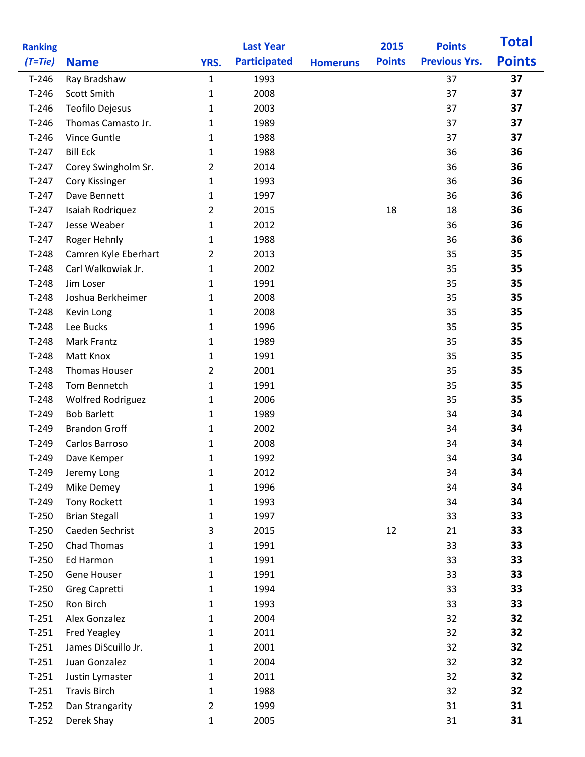| <b>Ranking</b>     |                                        |                | <b>Last Year</b>    |                 | 2015          | <b>Points</b>        | <b>Total</b>  |
|--------------------|----------------------------------------|----------------|---------------------|-----------------|---------------|----------------------|---------------|
| $(T=tie)$          | <b>Name</b>                            | YRS.           | <b>Participated</b> | <b>Homeruns</b> | <b>Points</b> | <b>Previous Yrs.</b> | <b>Points</b> |
| $T-246$            | Ray Bradshaw                           | $\mathbf{1}$   | 1993                |                 |               | 37                   | 37            |
| $T-246$            | Scott Smith                            | $\mathbf{1}$   | 2008                |                 |               | 37                   | 37            |
| $T-246$            | Teofilo Dejesus                        | $\mathbf{1}$   | 2003                |                 |               | 37                   | 37            |
| $T-246$            | Thomas Camasto Jr.                     | 1              | 1989                |                 |               | 37                   | 37            |
| $T-246$            | Vince Guntle                           | $\mathbf{1}$   | 1988                |                 |               | 37                   | 37            |
| $T-247$            | <b>Bill Eck</b>                        | 1              | 1988                |                 |               | 36                   | 36            |
| $T-247$            | Corey Swingholm Sr.                    | $\overline{2}$ | 2014                |                 |               | 36                   | 36            |
| $T-247$            | Cory Kissinger                         | 1              | 1993                |                 |               | 36                   | 36            |
| $T-247$            | Dave Bennett                           | $\mathbf{1}$   | 1997                |                 |               | 36                   | 36            |
| $T-247$            | Isaiah Rodriquez                       | $\overline{2}$ | 2015                |                 | 18            | 18                   | 36            |
| $T-247$            | Jesse Weaber                           | 1              | 2012                |                 |               | 36                   | 36            |
| $T-247$            | Roger Hehnly                           | 1              | 1988                |                 |               | 36                   | 36            |
| $T-248$            | Camren Kyle Eberhart                   | 2              | 2013                |                 |               | 35                   | 35            |
| $T-248$            | Carl Walkowiak Jr.                     | 1              | 2002                |                 |               | 35                   | 35            |
| $T-248$            | Jim Loser                              | $\mathbf{1}$   | 1991                |                 |               | 35                   | 35            |
| $T-248$            | Joshua Berkheimer                      | $\mathbf{1}$   | 2008                |                 |               | 35                   | 35            |
| $T-248$            | Kevin Long                             | 1              | 2008                |                 |               | 35                   | 35            |
| $T-248$            | Lee Bucks                              | 1              | 1996                |                 |               | 35                   | 35            |
| $T-248$            | Mark Frantz                            | 1              | 1989                |                 |               | 35                   | 35            |
| $T-248$            | Matt Knox                              | $\mathbf{1}$   | 1991                |                 |               | 35                   | 35            |
| $T-248$            | <b>Thomas Houser</b>                   | $\overline{2}$ | 2001                |                 |               | 35                   | 35            |
| $T-248$            | Tom Bennetch                           | $\mathbf{1}$   | 1991                |                 |               | 35                   | 35            |
| $T-248$            | <b>Wolfred Rodriguez</b>               | 1              | 2006                |                 |               | 35                   | 35            |
| $T-249$            | <b>Bob Barlett</b>                     | 1              | 1989                |                 |               | 34                   | 34            |
| $T-249$            | <b>Brandon Groff</b>                   | 1              | 2002                |                 |               | 34                   | 34            |
| $T-249$            | Carlos Barroso                         | 1              | 2008                |                 |               | 34                   | 34            |
| $T-249$            | Dave Kemper                            | $\mathbf{1}$   | 1992                |                 |               | 34                   | 34            |
| $T-249$            | Jeremy Long                            | 1              | 2012                |                 |               | 34                   | 34            |
| $T-249$            | Mike Demey                             | $\mathbf{1}$   | 1996                |                 |               | 34                   | 34            |
| $T-249$            | <b>Tony Rockett</b>                    | 1              | 1993                |                 |               | 34                   | 34            |
| $T-250$            | <b>Brian Stegall</b>                   | 1              | 1997                |                 |               | 33                   | 33            |
| $T-250$            | Caeden Sechrist                        | 3              | 2015                |                 | 12            | 21                   | 33            |
| $T-250$            | Chad Thomas                            | $\mathbf{1}$   | 1991                |                 |               | 33                   | 33            |
| $T-250$            | Ed Harmon                              | $\mathbf{1}$   | 1991                |                 |               | 33                   | 33            |
| $T-250$            | Gene Houser                            | $\mathbf{1}$   | 1991                |                 |               | 33                   | 33            |
| $T-250$            | Greg Capretti                          | $\mathbf{1}$   | 1994                |                 |               | 33                   | 33            |
| $T-250$            | Ron Birch                              | 1              | 1993                |                 |               | 33                   | 33            |
| $T-251$            | Alex Gonzalez                          | $\mathbf{1}$   | 2004                |                 |               | 32                   | 32            |
| $T-251$            | <b>Fred Yeagley</b>                    | $\mathbf{1}$   | 2011                |                 |               | 32                   | 32            |
| $T-251$            | James DiScuillo Jr.                    | $\mathbf{1}$   | 2001                |                 |               | 32                   | 32            |
| $T-251$            | Juan Gonzalez                          | 1              | 2004                |                 |               | 32                   | 32            |
| $T-251$<br>$T-251$ | Justin Lymaster<br><b>Travis Birch</b> | 1<br>1         | 2011                |                 |               | 32<br>32             | 32<br>32      |
| $T-252$            | Dan Strangarity                        | $\overline{2}$ | 1988<br>1999        |                 |               | 31                   | 31            |
| $T-252$            | Derek Shay                             | $\mathbf 1$    | 2005                |                 |               | 31                   | 31            |
|                    |                                        |                |                     |                 |               |                      |               |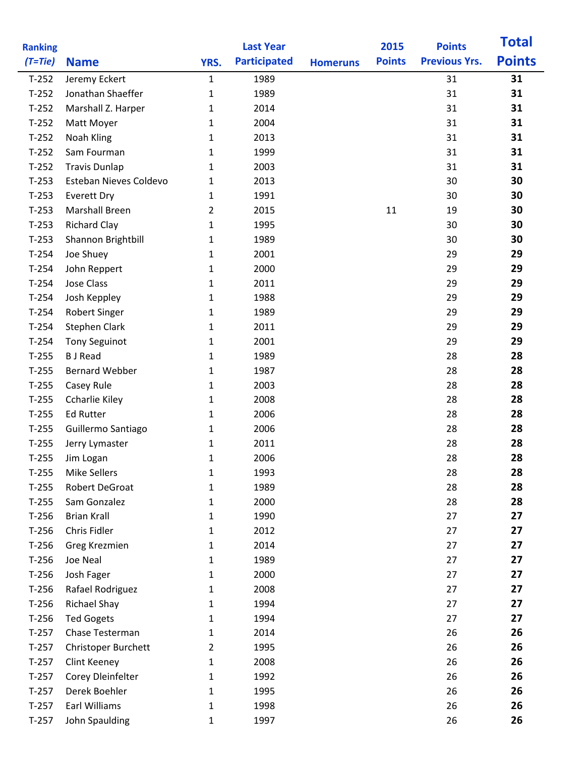| <b>Ranking</b> |                        |                | <b>Last Year</b>    |                 | 2015          | <b>Points</b>        | <b>Total</b>  |
|----------------|------------------------|----------------|---------------------|-----------------|---------------|----------------------|---------------|
| $(T=Tie)$      | <b>Name</b>            | YRS.           | <b>Participated</b> | <b>Homeruns</b> | <b>Points</b> | <b>Previous Yrs.</b> | <b>Points</b> |
| $T-252$        | Jeremy Eckert          | $\mathbf{1}$   | 1989                |                 |               | 31                   | 31            |
| $T-252$        | Jonathan Shaeffer      | $\mathbf{1}$   | 1989                |                 |               | 31                   | 31            |
| $T-252$        | Marshall Z. Harper     | 1              | 2014                |                 |               | 31                   | 31            |
| $T-252$        | Matt Moyer             | $\mathbf{1}$   | 2004                |                 |               | 31                   | 31            |
| $T-252$        | Noah Kling             | $\mathbf{1}$   | 2013                |                 |               | 31                   | 31            |
| $T-252$        | Sam Fourman            | 1              | 1999                |                 |               | 31                   | 31            |
| $T-252$        | <b>Travis Dunlap</b>   | $\mathbf{1}$   | 2003                |                 |               | 31                   | 31            |
| $T-253$        | Esteban Nieves Coldevo | 1              | 2013                |                 |               | 30                   | 30            |
| $T-253$        | <b>Everett Dry</b>     | $\mathbf{1}$   | 1991                |                 |               | 30                   | 30            |
| $T-253$        | <b>Marshall Breen</b>  | $\overline{2}$ | 2015                |                 | 11            | 19                   | 30            |
| $T-253$        | <b>Richard Clay</b>    | $\mathbf{1}$   | 1995                |                 |               | 30                   | 30            |
| $T-253$        | Shannon Brightbill     | 1              | 1989                |                 |               | 30                   | 30            |
| $T-254$        | Joe Shuey              | 1              | 2001                |                 |               | 29                   | 29            |
| $T-254$        | John Reppert           | 1              | 2000                |                 |               | 29                   | 29            |
| $T-254$        | Jose Class             | $\mathbf{1}$   | 2011                |                 |               | 29                   | 29            |
| $T-254$        | Josh Keppley           | $\mathbf{1}$   | 1988                |                 |               | 29                   | 29            |
| $T-254$        | <b>Robert Singer</b>   | $\mathbf{1}$   | 1989                |                 |               | 29                   | 29            |
| $T-254$        | <b>Stephen Clark</b>   | $\mathbf{1}$   | 2011                |                 |               | 29                   | 29            |
| $T-254$        | <b>Tony Seguinot</b>   | 1              | 2001                |                 |               | 29                   | 29            |
| $T-255$        | <b>B</b> J Read        | $\mathbf{1}$   | 1989                |                 |               | 28                   | 28            |
| $T-255$        | <b>Bernard Webber</b>  | 1              | 1987                |                 |               | 28                   | 28            |
| $T-255$        | Casey Rule             | $\mathbf{1}$   | 2003                |                 |               | 28                   | 28            |
| $T-255$        | <b>Ccharlie Kiley</b>  | $\mathbf{1}$   | 2008                |                 |               | 28                   | 28            |
| $T-255$        | <b>Ed Rutter</b>       | $\mathbf{1}$   | 2006                |                 |               | 28                   | 28            |
| $T-255$        | Guillermo Santiago     | 1              | 2006                |                 |               | 28                   | 28            |
| $T-255$        | Jerry Lymaster         | 1              | 2011                |                 |               | 28                   | 28            |
| $T-255$        | Jim Logan              | $\mathbf{1}$   | 2006                |                 |               | 28                   | 28            |
| $T-255$        | <b>Mike Sellers</b>    | 1              | 1993                |                 |               | 28                   | 28            |
| $T-255$        | Robert DeGroat         | $\mathbf{1}$   | 1989                |                 |               | 28                   | 28            |
| $T-255$        | Sam Gonzalez           | 1              | 2000                |                 |               | 28                   | 28            |
| $T-256$        | <b>Brian Krall</b>     | $\mathbf{1}$   | 1990                |                 |               | 27                   | 27            |
| $T-256$        | Chris Fidler           | 1              | 2012                |                 |               | 27                   | 27            |
| $T-256$        | Greg Krezmien          | 1              | 2014                |                 |               | 27                   | 27            |
| $T-256$        | Joe Neal               | 1              | 1989                |                 |               | 27                   | 27            |
| $T-256$        | Josh Fager             | $\mathbf{1}$   | 2000                |                 |               | 27                   | 27            |
| $T-256$        | Rafael Rodriguez       | $\mathbf{1}$   | 2008                |                 |               | 27                   | 27            |
| $T-256$        | <b>Richael Shay</b>    | 1              | 1994                |                 |               | 27                   | 27            |
| $T-256$        | <b>Ted Gogets</b>      | 1              | 1994                |                 |               | 27                   | 27            |
| $T-257$        | Chase Testerman        | 1              | 2014                |                 |               | 26                   | 26            |
| $T-257$        | Christoper Burchett    | 2              | 1995                |                 |               | 26                   | 26            |
| $T-257$        | Clint Keeney           | $\mathbf{1}$   | 2008                |                 |               | 26                   | 26            |
| $T-257$        | Corey Dleinfelter      | 1              | 1992                |                 |               | 26                   | 26            |
| $T-257$        | Derek Boehler          | 1              | 1995                |                 |               | 26                   | 26            |
| $T-257$        | Earl Williams          | 1              | 1998                |                 |               | 26                   | 26            |
| $T-257$        | John Spaulding         | 1              | 1997                |                 |               | 26                   | 26            |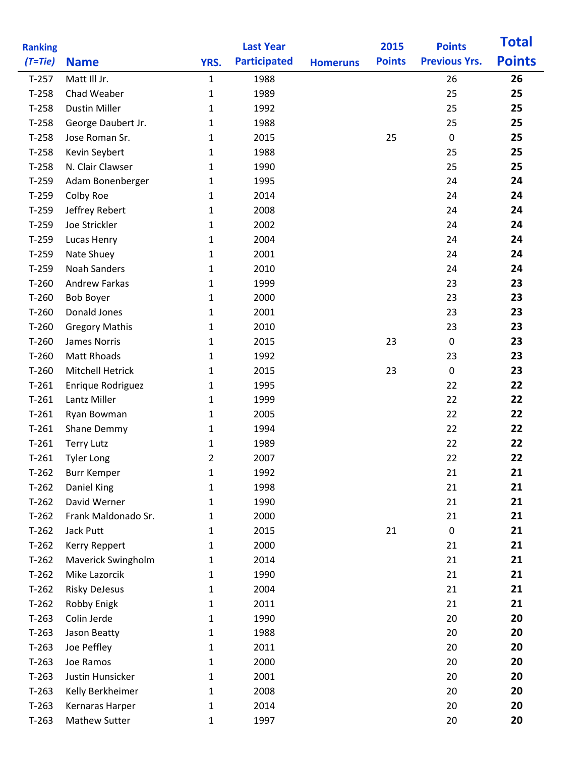| <b>Ranking</b> |                         |                | <b>Last Year</b>    |                 | 2015          | <b>Points</b>        | <b>Total</b>  |
|----------------|-------------------------|----------------|---------------------|-----------------|---------------|----------------------|---------------|
| $(T=tie)$      | <b>Name</b>             | YRS.           | <b>Participated</b> | <b>Homeruns</b> | <b>Points</b> | <b>Previous Yrs.</b> | <b>Points</b> |
| $T-257$        | Matt III Jr.            | $\mathbf{1}$   | 1988                |                 |               | 26                   | 26            |
| $T-258$        | Chad Weaber             | $\mathbf{1}$   | 1989                |                 |               | 25                   | 25            |
| $T-258$        | <b>Dustin Miller</b>    | $\mathbf 1$    | 1992                |                 |               | 25                   | 25            |
| $T-258$        | George Daubert Jr.      | 1              | 1988                |                 |               | 25                   | 25            |
| $T-258$        | Jose Roman Sr.          | $\mathbf{1}$   | 2015                |                 | 25            | $\pmb{0}$            | 25            |
| $T-258$        | Kevin Seybert           | 1              | 1988                |                 |               | 25                   | 25            |
| $T-258$        | N. Clair Clawser        | $\mathbf{1}$   | 1990                |                 |               | 25                   | 25            |
| $T-259$        | Adam Bonenberger        | 1              | 1995                |                 |               | 24                   | 24            |
| $T-259$        | Colby Roe               | $\mathbf{1}$   | 2014                |                 |               | 24                   | 24            |
| $T-259$        | Jeffrey Rebert          | 1              | 2008                |                 |               | 24                   | 24            |
| $T-259$        | Joe Strickler           | 1              | 2002                |                 |               | 24                   | 24            |
| $T-259$        | Lucas Henry             | 1              | 2004                |                 |               | 24                   | 24            |
| $T-259$        | Nate Shuey              | $\mathbf{1}$   | 2001                |                 |               | 24                   | 24            |
| $T-259$        | <b>Noah Sanders</b>     | 1              | 2010                |                 |               | 24                   | 24            |
| $T-260$        | <b>Andrew Farkas</b>    | 1              | 1999                |                 |               | 23                   | 23            |
| $T-260$        | <b>Bob Boyer</b>        | $\mathbf 1$    | 2000                |                 |               | 23                   | 23            |
| $T-260$        | Donald Jones            | $\mathbf{1}$   | 2001                |                 |               | 23                   | 23            |
| $T-260$        | <b>Gregory Mathis</b>   | $\mathbf{1}$   | 2010                |                 |               | 23                   | 23            |
| $T-260$        | <b>James Norris</b>     | 1              | 2015                |                 | 23            | $\mathbf 0$          | 23            |
| $T-260$        | <b>Matt Rhoads</b>      | $\mathbf 1$    | 1992                |                 |               | 23                   | 23            |
| $T-260$        | <b>Mitchell Hetrick</b> | $\mathbf{1}$   | 2015                |                 | 23            | $\mathbf 0$          | 23            |
| $T-261$        | Enrique Rodriguez       | $\mathbf{1}$   | 1995                |                 |               | 22                   | 22            |
| $T-261$        | Lantz Miller            | 1              | 1999                |                 |               | 22                   | 22            |
| $T-261$        | Ryan Bowman             | 1              | 2005                |                 |               | 22                   | 22            |
| $T-261$        | Shane Demmy             | 1              | 1994                |                 |               | 22                   | 22            |
| $T-261$        | <b>Terry Lutz</b>       | 1              | 1989                |                 |               | 22                   | 22            |
| $T-261$        | <b>Tyler Long</b>       | $\overline{2}$ | 2007                |                 |               | 22                   | 22            |
| $T-262$        | <b>Burr Kemper</b>      | 1              | 1992                |                 |               | 21                   | 21            |
| $T-262$        | Daniel King             | $\mathbf{1}$   | 1998                |                 |               | 21                   | 21            |
| $T-262$        | David Werner            | 1              | 1990                |                 |               | 21                   | 21            |
| $T-262$        | Frank Maldonado Sr.     | $\mathbf{1}$   | 2000                |                 |               | 21                   | 21            |
| $T-262$        | Jack Putt               | 1              | 2015                |                 | 21            | 0                    | 21            |
| $T-262$        | Kerry Reppert           | $\mathbf{1}$   | 2000                |                 |               | 21                   | 21            |
| $T-262$        | Maverick Swingholm      | 1              | 2014                |                 |               | 21                   | 21            |
| $T-262$        | Mike Lazorcik           | 1              | 1990                |                 |               | 21                   | 21            |
| $T-262$        | <b>Risky DeJesus</b>    | 1              | 2004                |                 |               | 21                   | 21            |
| $T-262$        | Robby Enigk             | 1              | 2011                |                 |               | 21                   | 21            |
| $T-263$        | Colin Jerde             | 1              | 1990                |                 |               | 20                   | 20            |
| $T-263$        | Jason Beatty            | 1              | 1988                |                 |               | 20                   | 20            |
| $T-263$        | Joe Peffley             | 1              | 2011                |                 |               | 20                   | 20            |
| $T-263$        | Joe Ramos               | 1              | 2000                |                 |               | 20                   | 20            |
| $T-263$        | Justin Hunsicker        | 1              | 2001                |                 |               | 20                   | 20            |
| $T-263$        | Kelly Berkheimer        | 1              | 2008                |                 |               | 20                   | 20            |
| $T-263$        | Kernaras Harper         | $\mathbf 1$    | 2014                |                 |               | 20                   | 20            |
| $T-263$        | <b>Mathew Sutter</b>    | $\mathbf 1$    | 1997                |                 |               | 20                   | 20            |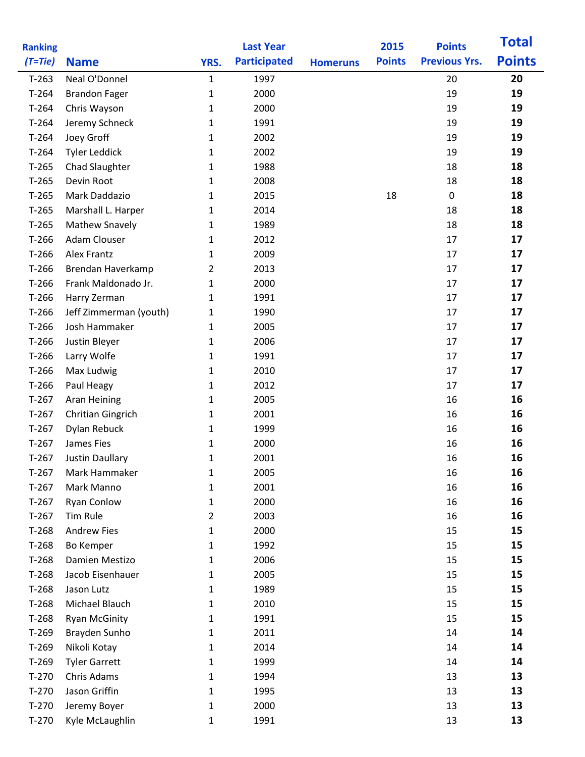| <b>Ranking</b> |                        |                | <b>Last Year</b>    |                 | 2015          | <b>Points</b>        | <b>Total</b>  |
|----------------|------------------------|----------------|---------------------|-----------------|---------------|----------------------|---------------|
| $(T=Tie)$      | <b>Name</b>            | YRS.           | <b>Participated</b> | <b>Homeruns</b> | <b>Points</b> | <b>Previous Yrs.</b> | <b>Points</b> |
| $T-263$        | Neal O'Donnel          | $\mathbf{1}$   | 1997                |                 |               | 20                   | 20            |
| $T-264$        | <b>Brandon Fager</b>   | $\mathbf 1$    | 2000                |                 |               | 19                   | 19            |
| $T-264$        | Chris Wayson           | 1              | 2000                |                 |               | 19                   | 19            |
| $T-264$        | Jeremy Schneck         | 1              | 1991                |                 |               | 19                   | 19            |
| $T-264$        | Joey Groff             | $\mathbf 1$    | 2002                |                 |               | 19                   | 19            |
| $T-264$        | <b>Tyler Leddick</b>   | $\mathbf{1}$   | 2002                |                 |               | 19                   | 19            |
| $T-265$        | Chad Slaughter         | 1              | 1988                |                 |               | 18                   | 18            |
| $T-265$        | Devin Root             | 1              | 2008                |                 |               | 18                   | 18            |
| $T-265$        | Mark Daddazio          | $\mathbf 1$    | 2015                |                 | 18            | $\pmb{0}$            | 18            |
| $T-265$        | Marshall L. Harper     | $\mathbf{1}$   | 2014                |                 |               | 18                   | 18            |
| $T-265$        | <b>Mathew Snavely</b>  | $\mathbf{1}$   | 1989                |                 |               | 18                   | 18            |
| $T-266$        | <b>Adam Clouser</b>    | 1              | 2012                |                 |               | 17                   | 17            |
| $T-266$        | <b>Alex Frantz</b>     | 1              | 2009                |                 |               | 17                   | 17            |
| $T-266$        | Brendan Haverkamp      | 2              | 2013                |                 |               | 17                   | 17            |
| $T-266$        | Frank Maldonado Jr.    | 1              | 2000                |                 |               | 17                   | 17            |
| $T-266$        | Harry Zerman           | 1              | 1991                |                 |               | 17                   | 17            |
| $T-266$        | Jeff Zimmerman (youth) | $\mathbf{1}$   | 1990                |                 |               | 17                   | 17            |
| $T-266$        | Josh Hammaker          | $\mathbf{1}$   | 2005                |                 |               | 17                   | 17            |
| $T-266$        | Justin Bleyer          | 1              | 2006                |                 |               | 17                   | 17            |
| $T-266$        | Larry Wolfe            | $\mathbf{1}$   | 1991                |                 |               | 17                   | 17            |
| $T-266$        | Max Ludwig             | 1              | 2010                |                 |               | 17                   | 17            |
| $T-266$        | Paul Heagy             | $\mathbf{1}$   | 2012                |                 |               | 17                   | 17            |
| $T-267$        | Aran Heining           | 1              | 2005                |                 |               | 16                   | 16            |
| $T-267$        | Chritian Gingrich      | 1              | 2001                |                 |               | 16                   | 16            |
| $T-267$        | Dylan Rebuck           | 1              | 1999                |                 |               | 16                   | 16            |
| $T-267$        | James Fies             | 1              | 2000                |                 |               | 16                   | 16            |
| $T-267$        | <b>Justin Daullary</b> | $\mathbf{1}$   | 2001                |                 |               | 16                   | 16            |
| $T-267$        | Mark Hammaker          | 1              | 2005                |                 |               | 16                   | 16            |
| $T-267$        | Mark Manno             | $\mathbf{1}$   | 2001                |                 |               | 16                   | 16            |
| $T-267$        | <b>Ryan Conlow</b>     | 1              | 2000                |                 |               | 16                   | 16            |
| $T-267$        | Tim Rule               | $\overline{2}$ | 2003                |                 |               | 16                   | 16            |
| $T-268$        | <b>Andrew Fies</b>     | 1              | 2000                |                 |               | 15                   | 15            |
| $T-268$        | Bo Kemper              | 1              | 1992                |                 |               | 15                   | 15            |
| $T-268$        | Damien Mestizo         | 1              | 2006                |                 |               | 15                   | 15            |
| $T-268$        | Jacob Eisenhauer       | $\mathbf{1}$   | 2005                |                 |               | 15                   | 15            |
| $T-268$        | Jason Lutz             | $\mathbf{1}$   | 1989                |                 |               | 15                   | 15            |
| $T-268$        | Michael Blauch         | 1              | 2010                |                 |               | 15                   | 15            |
| $T-268$        | <b>Ryan McGinity</b>   | 1              | 1991                |                 |               | 15                   | 15            |
| $T-269$        | Brayden Sunho          | 1              | 2011                |                 |               | 14                   | 14            |
| $T-269$        | Nikoli Kotay           | $\mathbf{1}$   | 2014                |                 |               | 14                   | 14            |
| $T-269$        | <b>Tyler Garrett</b>   | 1              | 1999                |                 |               | 14                   | 14            |
| $T-270$        | Chris Adams            | $\mathbf{1}$   | 1994                |                 |               | 13                   | 13            |
| $T-270$        | Jason Griffin          | 1              | 1995                |                 |               | 13                   | 13            |
| $T-270$        | Jeremy Boyer           | 1              | 2000<br>1991        |                 |               | 13<br>13             | 13<br>13      |
| $T-270$        | Kyle McLaughlin        | 1              |                     |                 |               |                      |               |